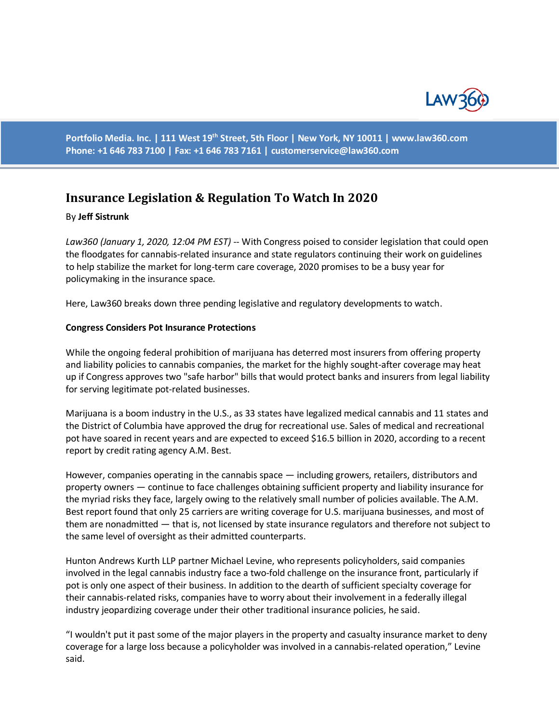

**Portfolio Media. Inc. | 111 West 19th Street, 5th Floor | New York, NY 10011 | www.law360.com Phone: +1 646 783 7100 | Fax: +1 646 783 7161 | [customerservice@law360.com](mailto:customerservice@law360.com)**

# **Insurance Legislation & Regulation To Watch In 2020**

#### By **Jeff Sistrunk**

*Law360 (January 1, 2020, 12:04 PM EST)* -- With Congress poised to consider legislation that could open the floodgates for cannabis-related insurance and state regulators continuing their work on guidelines to help stabilize the market for long-term care coverage, 2020 promises to be a busy year for policymaking in the insurance space.

Here, Law360 breaks down three pending legislative and regulatory developments to watch.

### **Congress Considers Pot Insurance Protections**

While the ongoing federal prohibition of marijuana has deterred most insurers from offering property and liability policies to cannabis companies, the market for the highly sought-after coverage may heat up if Congress approves two "safe harbor" bills that would protect banks and insurers from legal liability for serving legitimate pot-related businesses.

Marijuana is a boom industry in the U.S., as 33 states have legalized medical cannabis and 11 states and the District of Columbia have approved the drug for recreational use. Sales of medical and recreational pot have soared in recent years and are expected to exceed \$16.5 billion in 2020, according to a recent report by credit rating agency A.M. Best.

However, companies operating in the cannabis space — including growers, retailers, distributors and property owners — continue to face challenges obtaining sufficient property and liability insurance for the myriad risks they face, largely owing to the relatively small number of policies available. The A.M. Best report found that only 25 carriers are writing coverage for U.S. marijuana businesses, and most of them are nonadmitted — that is, not licensed by state insurance regulators and therefore not subject to the same level of oversight as their admitted counterparts.

Hunton Andrews Kurth LLP partner Michael Levine, who represents policyholders, said companies involved in the legal cannabis industry face a two-fold challenge on the insurance front, particularly if pot is only one aspect of their business. In addition to the dearth of sufficient specialty coverage for their cannabis-related risks, companies have to worry about their involvement in a federally illegal industry jeopardizing coverage under their other traditional insurance policies, he said.

"I wouldn't put it past some of the major players in the property and casualty insurance market to deny coverage for a large loss because a policyholder was involved in a cannabis-related operation," Levine said.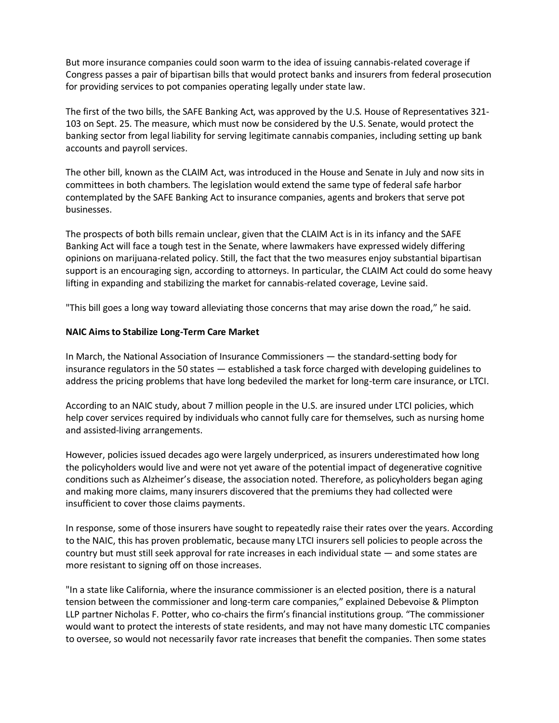But more insurance companies could soon warm to the idea of issuing cannabis-related coverage if Congress passes a pair of bipartisan bills that would protect banks and insurers from federal prosecution for providing services to pot companies operating legally under state law.

The first of the two bills, the SAFE Banking Act, was approved by the U.S. House of Representatives 321- 103 on Sept. 25. The measure, which must now be considered by the U.S. Senate, would protect the banking sector from legal liability for serving legitimate cannabis companies, including setting up bank accounts and payroll services.

The other bill, known as the CLAIM Act, was introduced in the House and Senate in July and now sits in committees in both chambers. The legislation would extend the same type of federal safe harbor contemplated by the SAFE Banking Act to insurance companies, agents and brokers that serve pot businesses.

The prospects of both bills remain unclear, given that the CLAIM Act is in its infancy and the SAFE Banking Act will face a tough test in the Senate, where lawmakers have expressed widely differing opinions on marijuana-related policy. Still, the fact that the two measures enjoy substantial bipartisan support is an encouraging sign, according to attorneys. In particular, the CLAIM Act could do some heavy lifting in expanding and stabilizing the market for cannabis-related coverage, Levine said.

"This bill goes a long way toward alleviating those concerns that may arise down the road," he said.

## **NAIC Aims to Stabilize Long-Term Care Market**

In March, the National Association of Insurance Commissioners — the standard-setting body for insurance regulators in the 50 states — established a task force charged with developing guidelines to address the pricing problems that have long bedeviled the market for long-term care insurance, or LTCI.

According to an NAIC study, about 7 million people in the U.S. are insured under LTCI policies, which help cover services required by individuals who cannot fully care for themselves, such as nursing home and assisted-living arrangements.

However, policies issued decades ago were largely underpriced, as insurers underestimated how long the policyholders would live and were not yet aware of the potential impact of degenerative cognitive conditions such as Alzheimer's disease, the association noted. Therefore, as policyholders began aging and making more claims, many insurers discovered that the premiums they had collected were insufficient to cover those claims payments.

In response, some of those insurers have sought to repeatedly raise their rates over the years. According to the NAIC, this has proven problematic, because many LTCI insurers sell policies to people across the country but must still seek approval for rate increases in each individual state — and some states are more resistant to signing off on those increases.

"In a state like California, where the insurance commissioner is an elected position, there is a natural tension between the commissioner and long-term care companies," explained Debevoise & Plimpton LLP partner Nicholas F. Potter, who co-chairs the firm's financial institutions group. "The commissioner would want to protect the interests of state residents, and may not have many domestic LTC companies to oversee, so would not necessarily favor rate increases that benefit the companies. Then some states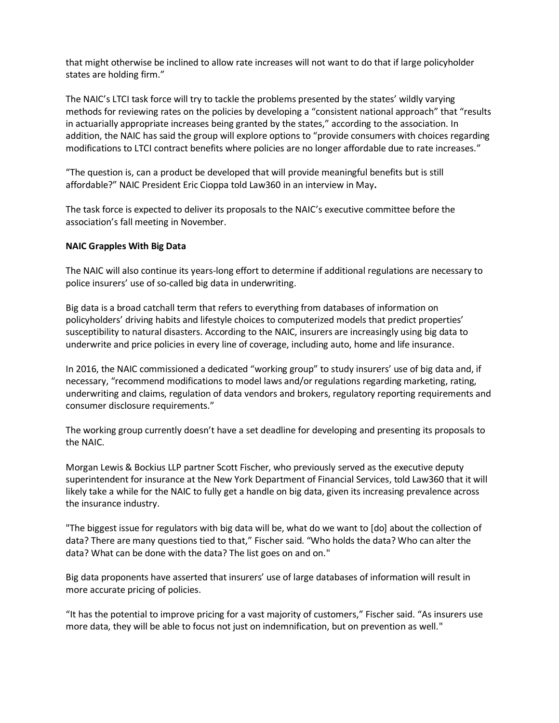that might otherwise be inclined to allow rate increases will not want to do that if large policyholder states are holding firm."

The NAIC's LTCI task force will try to tackle the problems presented by the states' wildly varying methods for reviewing rates on the policies by developing a "consistent national approach" that "results in actuarially appropriate increases being granted by the states," according to the association. In addition, the NAIC has said the group will explore options to "provide consumers with choices regarding modifications to LTCI contract benefits where policies are no longer affordable due to rate increases."

"The question is, can a product be developed that will provide meaningful benefits but is still affordable?" NAIC President Eric Cioppa told Law360 in an interview in May**.**

The task force is expected to deliver its proposals to the NAIC's executive committee before the association's fall meeting in November.

## **NAIC Grapples With Big Data**

The NAIC will also continue its years-long effort to determine if additional regulations are necessary to police insurers' use of so-called big data in underwriting.

Big data is a broad catchall term that refers to everything from databases of information on policyholders' driving habits and lifestyle choices to computerized models that predict properties' susceptibility to natural disasters. According to the NAIC, insurers are increasingly using big data to underwrite and price policies in every line of coverage, including auto, home and life insurance.

In 2016, the NAIC commissioned a dedicated "working group" to study insurers' use of big data and, if necessary, "recommend modifications to model laws and/or regulations regarding marketing, rating, underwriting and claims, regulation of data vendors and brokers, regulatory reporting requirements and consumer disclosure requirements."

The working group currently doesn't have a set deadline for developing and presenting its proposals to the NAIC.

Morgan Lewis & Bockius LLP partner Scott Fischer, who previously served as the executive deputy superintendent for insurance at the New York Department of Financial Services, told Law360 that it will likely take a while for the NAIC to fully get a handle on big data, given its increasing prevalence across the insurance industry.

"The biggest issue for regulators with big data will be, what do we want to [do] about the collection of data? There are many questions tied to that," Fischer said. "Who holds the data? Who can alter the data? What can be done with the data? The list goes on and on."

Big data proponents have asserted that insurers' use of large databases of information will result in more accurate pricing of policies.

"It has the potential to improve pricing for a vast majority of customers," Fischer said. "As insurers use more data, they will be able to focus not just on indemnification, but on prevention as well."